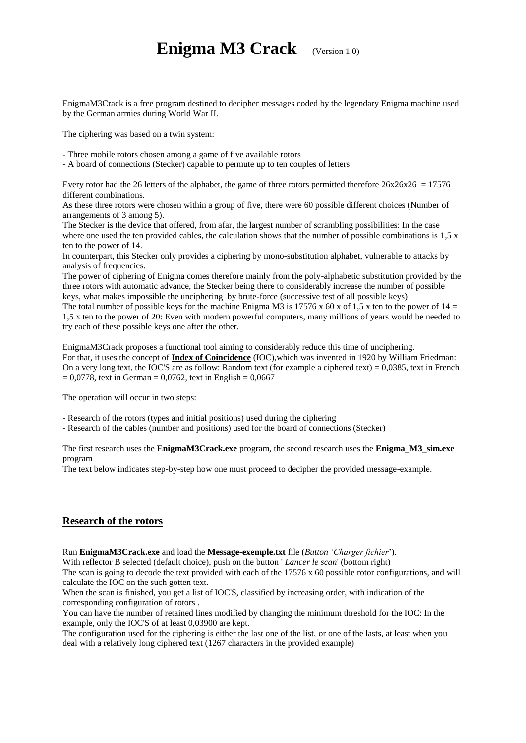# **Enigma M3 Crack** (Version 1.0)

EnigmaM3Crack is a free program destined to decipher messages coded by the legendary Enigma machine used by the German armies during World War II.

The ciphering was based on a twin system:

- Three mobile rotors chosen among a game of five available rotors

- A board of connections (Stecker) capable to permute up to ten couples of letters

Every rotor had the 26 letters of the alphabet, the game of three rotors permitted therefore  $26x26x26 = 17576$ different combinations.

As these three rotors were chosen within a group of five, there were 60 possible different choices (Number of arrangements of 3 among 5).

The Stecker is the device that offered, from afar, the largest number of scrambling possibilities: In the case where one used the ten provided cables, the calculation shows that the number of possible combinations is 1,5 x ten to the power of 14.

In counterpart, this Stecker only provides a ciphering by mono-substitution alphabet, vulnerable to attacks by analysis of frequencies.

The power of ciphering of Enigma comes therefore mainly from the poly-alphabetic substitution provided by the three rotors with automatic advance, the Stecker being there to considerably increase the number of possible keys, what makes impossible the unciphering by brute-force (successive test of all possible keys)

The total number of possible keys for the machine Enigma M3 is 17576 x 60 x of 1,5 x ten to the power of  $14 =$ 1,5 x ten to the power of 20: Even with modern powerful computers, many millions of years would be needed to try each of these possible keys one after the other.

EnigmaM3Crack proposes a functional tool aiming to considerably reduce this time of unciphering. For that, it uses the concept of **Index of Coincidence** (IOC),which was invented in 1920 by William Friedman: On a very long text, the IOC'S are as follow: Random text (for example a ciphered text) = 0,0385, text in French  $= 0.0778$ , text in German = 0,0762, text in English = 0,0667

The operation will occur in two steps:

- Research of the rotors (types and initial positions) used during the ciphering

- Research of the cables (number and positions) used for the board of connections (Stecker)

The first research uses the **EnigmaM3Crack.exe** program, the second research uses the **Enigma\_M3\_sim.exe** program

The text below indicates step-by-step how one must proceed to decipher the provided message-example.

#### **Research of the rotors**

Run **EnigmaM3Crack.exe** and load the **Message-exemple.txt** file (*Button 'Charger fichier*').

With reflector B selected (default choice), push on the button ' *Lancer le scan*' (bottom right)

The scan is going to decode the text provided with each of the 17576 x 60 possible rotor configurations, and will calculate the IOC on the such gotten text.

When the scan is finished, you get a list of IOC'S, classified by increasing order, with indication of the corresponding configuration of rotors .

You can have the number of retained lines modified by changing the minimum threshold for the IOC: In the example, only the IOC'S of at least 0,03900 are kept.

The configuration used for the ciphering is either the last one of the list, or one of the lasts, at least when you deal with a relatively long ciphered text (1267 characters in the provided example)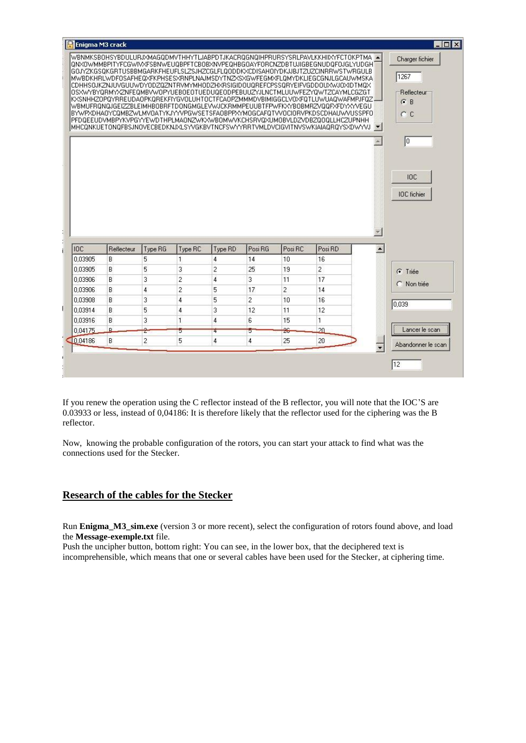|                                                                                                               | Enigma M3 crack |              |                |                |                          |                          |                                                                                                                                                                                                                                                                                                                                                                                                                                                                                                                                                                                                                                                                                                                                                                                                                                                                                                                           |                  | FOX                                                   |
|---------------------------------------------------------------------------------------------------------------|-----------------|--------------|----------------|----------------|--------------------------|--------------------------|---------------------------------------------------------------------------------------------------------------------------------------------------------------------------------------------------------------------------------------------------------------------------------------------------------------------------------------------------------------------------------------------------------------------------------------------------------------------------------------------------------------------------------------------------------------------------------------------------------------------------------------------------------------------------------------------------------------------------------------------------------------------------------------------------------------------------------------------------------------------------------------------------------------------------|------------------|-------------------------------------------------------|
|                                                                                                               |                 |              |                |                |                          |                          | WBNMKSBOHSYBDULURJXMAGQDMVTHHYTLJABPDTJKACRQGNQIHPRURSYSRLPAVLKKHIIXYFCTOKPTMA A<br>@NXOWMMBPITYFCGWIVXFSBNWEU@BPFTCBOBXNVPE@HBGOAYFORCNZDBTUJIGBEGNUD@FOJGLYUDGHI<br>GOJYZKGSOKGRTUSBBMGARKFHEUFLSLZSJHZCGLFLOODDKXCDISAHOIYDKJJBJTZUZCINRRWSTWRGULB<br>MWBDKHRLWDFOSAFHEQXFKPHSESXRNPLNAJMSDYTNZXSXGWFEGMXFLQMYDKLIEGCGNJLGCAUWMSKA<br>CDHHSOJKZNJUVGUUWDYODZOZNTRVMYMHODZHXRSIGIDOUOREFCPSSORYEIFVGDDOUXWJOXIDTMOX<br>OSXWYBYORMYXZNFEQMBVWOPYUEBOEOTUEDUQEODPEBUUZYJLNCTMLUUWFEZYQWTZCAYMLCGZGT<br>KXSNHHZOPQYRREUDAOPKQREKFIYGVOLUHTOCTFCAOPZMMMDVBIMIGGCLVOXFQTLUWUAQWAFMPJFQZ<br>\/BMUFRQNQJGEIZZBLEIMHBOBRFTDONGMGLEV\/JCKRMMPEUUBTFP\/FKXYBOBMRZ/QQFXFDYXYVEGU<br>BYWPXDHAOYCQMBZWLMVOATYKJYYVPGWSETSFAOBPPXYMOGCAFQTVVOCIORVPKDSCDHAUWVUSSPFO<br>PFDQEEUDVMBPYKVPGYYEWDTHPLMAONZWKXWB0MWVKCHSRVQXUM0BVLDZVDBZQ0QLLHCZUPNHH<br>MHCQNKUETONGFBSJNOVECBEDKNJXLSYVGKBVTNCFSWYYRRTVMLDVCIGVITNVSWKIAIAQRQYSXDWYVJUFI |                  | Charger fichier<br>1267<br>Reflecteur<br>$G$ B<br>C C |
|                                                                                                               |                 |              |                |                |                          |                          |                                                                                                                                                                                                                                                                                                                                                                                                                                                                                                                                                                                                                                                                                                                                                                                                                                                                                                                           | w.               | Io                                                    |
|                                                                                                               |                 |              |                |                |                          |                          |                                                                                                                                                                                                                                                                                                                                                                                                                                                                                                                                                                                                                                                                                                                                                                                                                                                                                                                           |                  | <b>IDC</b><br><b>IOC</b> fichier                      |
|                                                                                                               |                 |              |                |                |                          |                          |                                                                                                                                                                                                                                                                                                                                                                                                                                                                                                                                                                                                                                                                                                                                                                                                                                                                                                                           |                  |                                                       |
|                                                                                                               |                 |              |                |                |                          |                          |                                                                                                                                                                                                                                                                                                                                                                                                                                                                                                                                                                                                                                                                                                                                                                                                                                                                                                                           | $\blacktriangle$ |                                                       |
|                                                                                                               | Reflecteur<br>B | Type RG<br>5 | Type RC<br>1   | Type RD<br>4   | Posi <sub>RG</sub><br>14 | Posi <sub>RC</sub><br>10 | Posi <sub>RD</sub><br>16                                                                                                                                                                                                                                                                                                                                                                                                                                                                                                                                                                                                                                                                                                                                                                                                                                                                                                  |                  |                                                       |
|                                                                                                               | B               | 5            | 3              | $\overline{c}$ | 25                       | 19                       | $\overline{c}$                                                                                                                                                                                                                                                                                                                                                                                                                                                                                                                                                                                                                                                                                                                                                                                                                                                                                                            |                  |                                                       |
|                                                                                                               | B               | 3            | $\overline{c}$ | $\overline{4}$ | 3                        | 11                       | 17                                                                                                                                                                                                                                                                                                                                                                                                                                                                                                                                                                                                                                                                                                                                                                                                                                                                                                                        |                  | <b>C</b> Triée                                        |
|                                                                                                               | B               | 4            | $\overline{c}$ | 5              | 17                       | $\overline{2}$           | 14                                                                                                                                                                                                                                                                                                                                                                                                                                                                                                                                                                                                                                                                                                                                                                                                                                                                                                                        |                  | C Non triée                                           |
|                                                                                                               | B               | 3            | $\overline{4}$ | 5              | $\overline{c}$           | 10                       | 16                                                                                                                                                                                                                                                                                                                                                                                                                                                                                                                                                                                                                                                                                                                                                                                                                                                                                                                        |                  |                                                       |
|                                                                                                               | B               | 5            | 4              | 3              | 12                       | 11                       | 12                                                                                                                                                                                                                                                                                                                                                                                                                                                                                                                                                                                                                                                                                                                                                                                                                                                                                                                        |                  | 0.039                                                 |
|                                                                                                               | B               | 3            | $\mathbf{1}$   | $\overline{4}$ | 6                        | 15                       | $\mathbf{1}$                                                                                                                                                                                                                                                                                                                                                                                                                                                                                                                                                                                                                                                                                                                                                                                                                                                                                                              |                  |                                                       |
|                                                                                                               | R.              | ż            | 5              | 4              | 5                        | $-26$                    | $\sqrt{20}$                                                                                                                                                                                                                                                                                                                                                                                                                                                                                                                                                                                                                                                                                                                                                                                                                                                                                                               |                  | Lancer le scan                                        |
| <b>IDC</b><br>0.03905<br>0.03905<br>0.03906<br>0.03906<br>0.03908<br>0.03914<br>0.03916<br>0.04175<br>0.04186 | B               | 2            | 5              | 4              | 4                        | 25                       | 20                                                                                                                                                                                                                                                                                                                                                                                                                                                                                                                                                                                                                                                                                                                                                                                                                                                                                                                        |                  |                                                       |
|                                                                                                               |                 |              |                |                |                          |                          |                                                                                                                                                                                                                                                                                                                                                                                                                                                                                                                                                                                                                                                                                                                                                                                                                                                                                                                           |                  | Abandonner le scan                                    |

If you renew the operation using the C reflector instead of the B reflector, you will note that the IOC'S are 0.03933 or less, instead of 0,04186: It is therefore likely that the reflector used for the ciphering was the B reflector.

Now, knowing the probable configuration of the rotors, you can start your attack to find what was the connections used for the Stecker.

#### **Research of the cables for the Stecker**

Run **Enigma\_M3\_sim.exe** (version 3 or more recent), select the configuration of rotors found above, and load the **Message-exemple.txt** file.

Push the uncipher button, bottom right: You can see, in the lower box, that the deciphered text is incomprehensible, which means that one or several cables have been used for the Stecker, at ciphering time.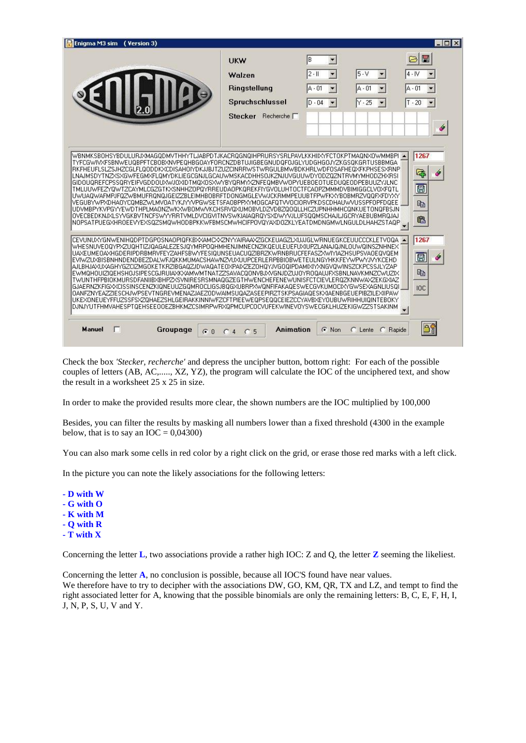| Enigma M3 sim ( Version 3)                                                                                                                                                                                                                                                                                                                                                                                                                                                                                                                                                                                                                                                                                                                                                                                                                                                                                                                                                                                                                                     |                                                                              |                                                                                                        |                                                                                                       | $ \Box$ $\times$                                |
|----------------------------------------------------------------------------------------------------------------------------------------------------------------------------------------------------------------------------------------------------------------------------------------------------------------------------------------------------------------------------------------------------------------------------------------------------------------------------------------------------------------------------------------------------------------------------------------------------------------------------------------------------------------------------------------------------------------------------------------------------------------------------------------------------------------------------------------------------------------------------------------------------------------------------------------------------------------------------------------------------------------------------------------------------------------|------------------------------------------------------------------------------|--------------------------------------------------------------------------------------------------------|-------------------------------------------------------------------------------------------------------|-------------------------------------------------|
|                                                                                                                                                                                                                                                                                                                                                                                                                                                                                                                                                                                                                                                                                                                                                                                                                                                                                                                                                                                                                                                                | <b>UKW</b><br>Walzen<br>Ringstellung<br>Spruchschlussel<br>Stecker Recherche | B<br>$\blacktriangledown$<br>$\blacksquare$<br>$2 - 11$<br>$A - 01$<br>▼<br>$\blacksquare$<br>$D - 04$ | $5 - V$<br>$\blacktriangledown$<br>$A - 01$<br>$\overline{\phantom{a}}$<br>$Y - 25$<br>$\blacksquare$ | 闓<br>☞<br>$4 - IV$<br>$A - 01$<br>$T - 20$<br>Í |
| WBNMKSBOHSYBDULURJXMAGQDMVTHHYTLJABPDTJKACRQGNQIHPRURSYSRLPAVLKKHIIXYFCTOKPTMAQNXOWMMBPI =<br>TYFCGWIVXFSBNWEUQBPFTCBOBXNVPEQHBGOAYFORCNZDBTUJIGBEGNUDQFOJGLYUDGHGOJYZKGSQKGRTUSBBMGA<br>RKFHEUFLSLZSJHZCGLFLQODDKXCDISAHOIYDKJJBJTZUZCINRRWSTWRGULBMWBDKHRLWDFOSAFHEQXFKPHSESXRNPl<br>LNAJMSDYTNZXSXGWFEGMXFLOMYDKLIEGCGNJLGCAUWMSKACDHHSOJKZNJUVGUUWDYODZOZNTRVMYMHODZHXRSI<br>GIDOUGREFCPSSGRYEIFVGDDOUXWJOXIDTMQXOSXWYBYGRMYXZNFEGMBVWOFYUEBOEOTUEDUGEODPEBUUZYJLNC<br>TMLUUWFEZYQWTZCAYMLCGZGTKXSNHHZOPQYRREUDAOPKQREKFIYGVOLUHTOCTFCAOPZMMMDVBIMIGGCLVOXFQTL<br>UWUAQWAFMPJFQZWBMUFRQNQJGEIZZBLEIMHBOBRFTDONGMGLEVWJCKRMMPEUUBTFPWFKXYBOBMRZVQQFXFDYXY<br>VEGUBYWPXDHAOYCQMBZWLMVOATYKJYYVPGWSETSFAOBPPXYMOGCAFQTVVOCIORVPKDSCDHAUWVUSSPFOPFDQEE<br>UDVMBPYKVPGYYEWDTHPLMAONZWKXWBOMWVKCHSRVQXUMOBVLDZVDBZQOQLLHCZUPNHHMHCQNKUETONQFBSJN<br>OVECBEDKNJXLSYVGKBVTNCFSWYYRRTVMLDVCIGVITNVSWKIAIAOROYSXDWYVJLUFSOOMSCHAJLJGCRYAEBUBMROJAJ<br>NOPSATPUEGXHROEEVYEXSQZSMQWHODBPKKWFBMSCMWHCIFPOVQYAXDOZKLYEATDMDNGMWLNGULDLHAHZSTAQPI                         |                                                                              |                                                                                                        |                                                                                                       | 1267<br>b<br>q,<br>圓<br>电<br>6                  |
| CEVUNUXYGNWENIHODPTDGPOSNAOPIOFKBXXAMCXXZNYYAIRAAXZGCKEUAGZLXUJJGLWRNUEGKCEUUCCCKLETVOOA<br>WHESNUVEOOYPXZUOHTIZJOAGALEZESJOYMRPOOHMHENJIMNECNZIKOEULEUEFUXIUPZLANAJOJNLOUWOINSZNHNEX<br>UAXEUMEOAXHGDERIPDRBMRVFEYZAHFSBWYFESIQUNSEUACUQZIBRZKWRNBRUCFEFASZXWIYIAZHSUPSVAOEQVQEM<br>EVIWZUXBISBNHNDENDBEZDALWFJQKKMUMACSHAWNZVUXUUPCERLERPBBIOBWETEULNGYHKKFEYWFWYJVYKCEHD<br>AJLBHJAXUXAGHYGZCIZMGOKETKRZIBGAOZJDWAOATEOXPAIXZEZOHOYJVGOOIPDAMIXIYXNGVOWINSZCKPCSSJLYZAP<br>EWMOHOUIZIOEHSHOJSIPESCGJRUIAXKXAMWMTNATZZSAVACOONVBJXVGNJDZUJOYROQAUJFXSBNLNAVKMNZCWUZIX<br>TWUNTHFPBIOKMURSDFANIIBXBHPZXSVNIRESRSMNAQGZEGTHWENCHEFENEWUNISFCTCIEVLERQZKNNWAXZEKGXIAZ<br>GJAERNZKFIGXXCISSINSCENZKIONEUUZGOMROCLIGSJBOGXUBRPXWONFIFAKAOESWECGVKUMOCIXYGWSEXAGNLIUSOI.<br>0ANFZNYEAZZIESCHJWPSEVTNGREVMENAZJAEZ0DWAIMSUQAZASEEPIRZTSKPSAGIAOESKXIAENBGEUEPIBZILEXIIPAW<br>UKEXONEUEYFFUZSSFSXZOHAEZSHLGEIRAKKINNIWFZCFTPIEEWEOPSEOOCEIEZCCYAVBXEYOUBUWRIHHUIOINTEBOKY<br>DJNJYUTFHMVAHESPTOEHSEEOOEZBHKMZCSIMRPWRXOPMCUPCOCVUFEKWINEVOYSWECGKLHUZEKIGWZZSTSAKINM |                                                                              |                                                                                                        |                                                                                                       | 1267<br>圓<br>H<br>酯<br><b>IOC</b>               |
| <b>Manuel</b><br>г<br>Groupage<br>G.0                                                                                                                                                                                                                                                                                                                                                                                                                                                                                                                                                                                                                                                                                                                                                                                                                                                                                                                                                                                                                          | <b>Animation</b><br>5<br>$\overline{4}$<br>C                                 | G Non                                                                                                  | C Lente<br>C Rapide                                                                                   |                                                 |

Check the box *'Stecker, recherche'* and depress the uncipher button, bottom right: For each of the possible couples of letters (AB, AC,....., XZ, YZ), the program will calculate the IOC of the unciphered text, and show the result in a worksheet 25 x 25 in size.

In order to make the provided results more clear, the shown numbers are the IOC multiplied by 100,000

Besides, you can filter the results by masking all numbers lower than a fixed threshold (4300 in the example below, that is to say an  $IOC = 0,04300)$ 

You can also mark some cells in red color by a right click on the grid, or erase those red marks with a left click.

In the picture you can note the likely associations for the following letters:

- **- D with W - G with O - K with M**
- **- Q with R**
- **- T with X**

Concerning the letter **L**, two associations provide a rather high IOC: Z and Q, the letter **Z** seeming the likeliest.

Concerning the letter **A**, no conclusion is possible, because all IOC'S found have near values. We therefore have to try to decipher with the associations DW, GO, KM, QR, TX and LZ, and tempt to find the right associated letter for A, knowing that the possible binomials are only the remaining letters: B, C, E, F, H, I, J, N, P, S, U, V and Y.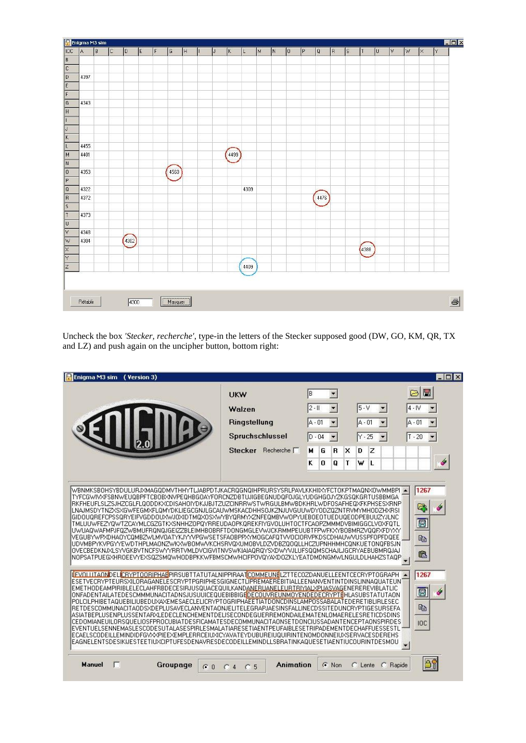|                                    | Enigma M3 sim |   |   |        |   |     |         |    |           |              |      |   |   |     |   |      |    |    |      |    |   |   |              | $\Box \Box x$ |
|------------------------------------|---------------|---|---|--------|---|-----|---------|----|-----------|--------------|------|---|---|-----|---|------|----|----|------|----|---|---|--------------|---------------|
| <b>IOC</b>                         | A             | B | C | ID.    | E | IF. | G       | Iн | $\vert$ J | $\mathsf{K}$ | L    | M | N | lo. | P | Q    | R. | S. | T    | lu | V | W | $\mathsf{K}$ | I۲            |
|                                    |               |   |   |        |   |     |         |    |           |              |      |   |   |     |   |      |    |    |      |    |   |   |              |               |
| $\overline{c}$<br>$ \overline{D} $ |               |   |   |        |   |     |         |    |           |              |      |   |   |     |   |      |    |    |      |    |   |   |              |               |
| E                                  | 4397          |   |   |        |   |     |         |    |           |              |      |   |   |     |   |      |    |    |      |    |   |   |              |               |
|                                    |               |   |   |        |   |     |         |    |           |              |      |   |   |     |   |      |    |    |      |    |   |   |              |               |
|                                    | 4343          |   |   |        |   |     |         |    |           |              |      |   |   |     |   |      |    |    |      |    |   |   |              |               |
| $\sqrt{6}$<br>F                    |               |   |   |        |   |     |         |    |           |              |      |   |   |     |   |      |    |    |      |    |   |   |              |               |
|                                    |               |   |   |        |   |     |         |    |           |              |      |   |   |     |   |      |    |    |      |    |   |   |              |               |
|                                    |               |   |   |        |   |     |         |    |           |              |      |   |   |     |   |      |    |    |      |    |   |   |              |               |
|                                    |               |   |   |        |   |     |         |    |           |              |      |   |   |     |   |      |    |    |      |    |   |   |              |               |
|                                    | 4455          |   |   |        |   |     |         |    |           |              |      |   |   |     |   |      |    |    |      |    |   |   |              |               |
| $\overline{M}$<br>$\sqrt{N}$       | 4401          |   |   |        |   |     |         |    |           | 4499         |      |   |   |     |   |      |    |    |      |    |   |   |              |               |
|                                    |               |   |   |        |   |     |         |    |           |              |      |   |   |     |   |      |    |    |      |    |   |   |              |               |
| $\overline{\circ}$                 | 4353          |   |   |        |   |     | 4560    |    |           |              |      |   |   |     |   |      |    |    |      |    |   |   |              |               |
| $\vert \overline{P} \vert$         |               |   |   |        |   |     |         |    |           |              |      |   |   |     |   |      |    |    |      |    |   |   |              |               |
| $\sqrt{a}$<br>$\vert$ R            | 4322          |   |   |        |   |     |         |    |           |              | 4309 |   |   |     |   |      |    |    |      |    |   |   |              |               |
|                                    | 4372          |   |   |        |   |     |         |    |           |              |      |   |   |     |   | 4476 |    |    |      |    |   |   |              |               |
|                                    | 4373          |   |   |        |   |     |         |    |           |              |      |   |   |     |   |      |    |    |      |    |   |   |              |               |
|                                    |               |   |   |        |   |     |         |    |           |              |      |   |   |     |   |      |    |    |      |    |   |   |              |               |
|                                    | 4348          |   |   |        |   |     |         |    |           |              |      |   |   |     |   |      |    |    |      |    |   |   |              |               |
| ⊽<br>w                             | 4304          |   |   | (4302) |   |     |         |    |           |              |      |   |   |     |   |      |    |    |      |    |   |   |              |               |
|                                    |               |   |   |        |   |     |         |    |           |              |      |   |   |     |   |      |    |    | 4388 |    |   |   |              |               |
| $\overline{\mathsf{x}}$            |               |   |   |        |   |     |         |    |           |              |      |   |   |     |   |      |    |    |      |    |   |   |              |               |
|                                    |               |   |   |        |   |     |         |    |           |              | 4409 |   |   |     |   |      |    |    |      |    |   |   |              |               |
|                                    |               |   |   |        |   |     |         |    |           |              |      |   |   |     |   |      |    |    |      |    |   |   |              |               |
|                                    |               |   |   |        |   |     |         |    |           |              |      |   |   |     |   |      |    |    |      |    |   |   |              |               |
|                                    |               |   |   |        |   |     |         |    |           |              |      |   |   |     |   |      |    |    |      |    |   |   |              |               |
|                                    | Rétablir      |   |   | 4300   |   |     | Masquer |    |           |              |      |   |   |     |   |      |    |    |      |    |   |   |              |               |

Uncheck the box *'Stecker, recherche'*, type-in the letters of the Stecker supposed good (DW, GO, KM, QR, TX and LZ) and push again on the uncipher button, bottom right:

| 1267<br>WBNMKSBOHSYBDULURJXMAGODMVTHHYTLJABPDTJKACROGNOIHPRURSYSRLPAVLKKHIIXYFCTOKPTMAONXOWMMBPI =<br>TYFCGWIVXFSBNWEUQBPFTCBOBXNVPEQHBGOAYFORCNZDBTUJIGBEGNUDQFOJGLYUDGHGOJYZKGSQKGRTUSBBMGA<br>RKFHEUFLSLZSJHZCGLFL00DDKXCDISAHOIYDKJJBJTZUZCINRRWSTWRGULBMWBDKHRLWDFOSAFHE0XFKPHSESXRNP<br>ą<br>LNAJMSDYTNZXSXGWFEGMXFLQMYDKLIEGCGNJLGCAUWMSKACDHHSOJKZNJUVGUUWDYODZQZNTRVMYMHODZHXRSI<br>GIDOUQREFCPSSQRYEIFVGDDOUXWJOXIDTMQXOSXWYBYQRMYXZNFEQMBVWOPYUEBOEOTUEDUQEODPEBUUZYJLNC<br>團<br>TMLUUWFEZYOWTZCAYMLCGZGTKXSNHHZOPOYRREUDAOPKOREKFIYGVOLUHTOCTFCAOPZMMMDVBIMIGGCLVOXFOTL<br>UWUAQWAFMPJFQZWBMUFRQNQJGEIZZBLEIMHBOBRFTDONGMGLEVWJCKRMMPEUUBTFPWFKXYBOBMRZVQQFXFDYXY<br>VEGUBYWPXDHAOYCOMBZWLMVOATYKJYYVPGWSETSFAOBPPXYMOGCAFOTVVOCIORVPKDSCDHAUWVUSSPFOPFDOEE<br>电<br>UDVMBPYKVPGYYEWDTHPLMAONZWKXWBOMWVKCHSRVQXUMOBVLDZVDBZQOQLLHCZUPNHHMHCQNKUETONQFBSJN<br>OVECBEDKNJXLSYVGKBVTNCFSWYYRRTVMLDVCIGVITNVSWKIAIAOROYSXDWYVJLUFSOOMSCHAJLJGCRYAEBUBMROJAJ<br>龟<br>NOPSATPUEGXHROEEVYEXSQZSMQWHODBPKKWFBMSCMWHCIFPOVQYAXDOZKLYEATDMDNGMWLNGULDLHAHZSTAQP<br>÷<br>1267<br>IFVOLUTAONDELICRYPTOORIPHAEPIRSUBTTATUTALNIPPIRAATCOMMEUNELZTTECOZDANUELLEENTCECRYPTOGRAPH<br>ESETVECRYPTEURSXILORAGANELESCRYPTPGRIPHESGIGNECTLIPREMAEREBITIALLEENANVENTINTDINSLINNAQUATEUNÍ<br>EMETHODEAMPIRIBLELECLAHFRBDECESIRJUSQUACEQUILKANDANERUANELEURTRIYIALXPUASVAGENEREREVIBLATLIC<br>團<br>ONFADENTAILATEDESCMMMUNACITADNSJUSUUICEQUEBIBBIGEDECOUVREUNMOYENDEDECRYPTEHLASUBSTATUTAON<br>POLCILPHIBETAQUEBILIUBEDUXAXEMESAECLELICRYPTOGRIPHAEETIATDONCDINSLAMPOSSABALATEDERETIBLIRLESEC<br>电<br>RETDESCOMMUNACITAODSXDEPLUSAVECLANVENTAONJELITELEGRAPJAESINSFALLINECDSSITEDUNCRYPTIGESURSEFA<br>ASIATBEPLUSENPLUSSENTARXLEDECLENCHEMENTDELISECONDEGUERREMONDAILEMATENLOMAERELESRETICDSDINS<br>CEDOMIANEUILORSQUELIOSFPROCUBIATDESFICAMATESDECOMMUNACITAONSETDONCIUSSADANTENCEPTAONSPIRDES<br>IOC<br>EVENTUELSENNEMASLESCODESUTALASESPIRLESMALATIARESETIAENTPEUFAIBLESETRIPADEMENTDECHAFFUESSESTL<br>ECAELSCODEILLEMINDIDFGVXXPIEEXEMPLERRCEIUXICYAVATEYDUBUREIUQUIRINTENOMDONNEIUXSERVACESDEREHS<br>EAGNELENTSDESIKIJESTEETIUXCIPTUFESDENAVRESDECODEILLEMINDLLSBRATINKAQUESETIAENTIUCOURINTDESMOU | ( Version 3)<br>Enigma M3 sim | <b>UKW</b><br>Walzen<br>Ringstellung<br>Spruchschlussel<br>Stecker Recherche | ΙB<br>$2 - 11$<br>IA.<br>- 01<br>$D - 04$<br>$\mathbf{R}$<br>$\times$<br>м<br>G<br>K<br>O<br>т<br>0 | $5 - V$<br>▼<br>$A - 01$<br>$Y - 25$<br>$\blacktriangledown$<br>D<br>z<br>w<br>L | $ \Box$ $\times$<br>圛<br>$4 - N$<br>$\overline{\phantom{a}}$<br>IA - 01<br>$T - 20$ |
|---------------------------------------------------------------------------------------------------------------------------------------------------------------------------------------------------------------------------------------------------------------------------------------------------------------------------------------------------------------------------------------------------------------------------------------------------------------------------------------------------------------------------------------------------------------------------------------------------------------------------------------------------------------------------------------------------------------------------------------------------------------------------------------------------------------------------------------------------------------------------------------------------------------------------------------------------------------------------------------------------------------------------------------------------------------------------------------------------------------------------------------------------------------------------------------------------------------------------------------------------------------------------------------------------------------------------------------------------------------------------------------------------------------------------------------------------------------------------------------------------------------------------------------------------------------------------------------------------------------------------------------------------------------------------------------------------------------------------------------------------------------------------------------------------------------------------------------------------------------------------------------------------------------------------------------------------------------------------------------------------------------------------------------------------------------------------------------------------------------------------------------------------------------------------------------------|-------------------------------|------------------------------------------------------------------------------|-----------------------------------------------------------------------------------------------------|----------------------------------------------------------------------------------|-------------------------------------------------------------------------------------|
|                                                                                                                                                                                                                                                                                                                                                                                                                                                                                                                                                                                                                                                                                                                                                                                                                                                                                                                                                                                                                                                                                                                                                                                                                                                                                                                                                                                                                                                                                                                                                                                                                                                                                                                                                                                                                                                                                                                                                                                                                                                                                                                                                                                             |                               |                                                                              |                                                                                                     |                                                                                  |                                                                                     |
|                                                                                                                                                                                                                                                                                                                                                                                                                                                                                                                                                                                                                                                                                                                                                                                                                                                                                                                                                                                                                                                                                                                                                                                                                                                                                                                                                                                                                                                                                                                                                                                                                                                                                                                                                                                                                                                                                                                                                                                                                                                                                                                                                                                             |                               |                                                                              |                                                                                                     | $\overline{\phantom{0}}$                                                         |                                                                                     |